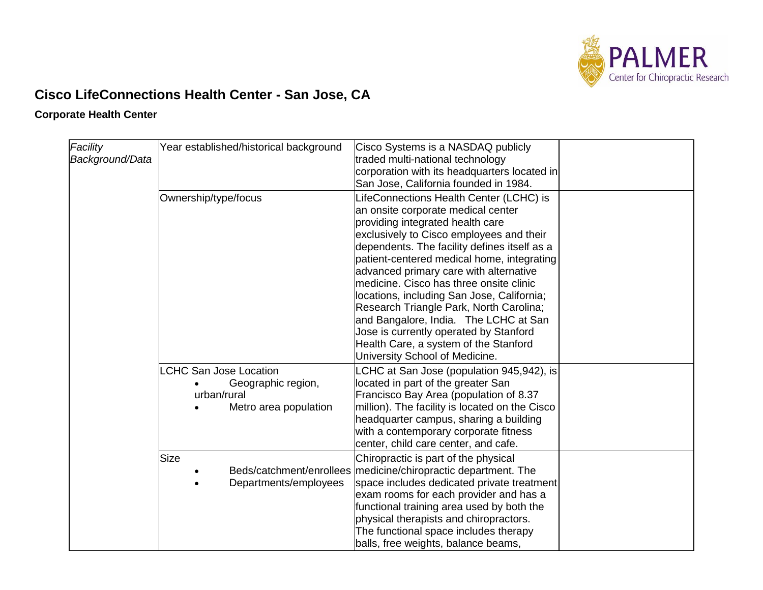

## **Cisco LifeConnections Health Center - San Jose, CA**

## **Corporate Health Center**

| Facility        | Year established/historical background | Cisco Systems is a NASDAQ publicly                                                |  |
|-----------------|----------------------------------------|-----------------------------------------------------------------------------------|--|
| Background/Data |                                        | traded multi-national technology                                                  |  |
|                 |                                        | corporation with its headquarters located in                                      |  |
|                 |                                        | San Jose, California founded in 1984.                                             |  |
|                 |                                        |                                                                                   |  |
|                 | Ownership/type/focus                   | LifeConnections Health Center (LCHC) is                                           |  |
|                 |                                        | an onsite corporate medical center                                                |  |
|                 |                                        | providing integrated health care                                                  |  |
|                 |                                        | exclusively to Cisco employees and their                                          |  |
|                 |                                        | dependents. The facility defines itself as a                                      |  |
|                 |                                        | patient-centered medical home, integrating                                        |  |
|                 |                                        | advanced primary care with alternative<br>medicine. Cisco has three onsite clinic |  |
|                 |                                        | locations, including San Jose, California;                                        |  |
|                 |                                        |                                                                                   |  |
|                 |                                        | Research Triangle Park, North Carolina;<br>and Bangalore, India. The LCHC at San  |  |
|                 |                                        | Jose is currently operated by Stanford                                            |  |
|                 |                                        | Health Care, a system of the Stanford                                             |  |
|                 |                                        | University School of Medicine.                                                    |  |
|                 |                                        |                                                                                   |  |
|                 | <b>LCHC San Jose Location</b>          | LCHC at San Jose (population 945,942), is                                         |  |
|                 | Geographic region,                     | located in part of the greater San                                                |  |
|                 | urban/rural                            | Francisco Bay Area (population of 8.37                                            |  |
|                 | Metro area population                  | million). The facility is located on the Cisco                                    |  |
|                 |                                        | headquarter campus, sharing a building                                            |  |
|                 |                                        | with a contemporary corporate fitness                                             |  |
|                 |                                        | center, child care center, and cafe.                                              |  |
|                 | <b>Size</b>                            | Chiropractic is part of the physical                                              |  |
|                 | Beds/catchment/enrollees               | medicine/chiropractic department. The                                             |  |
|                 | Departments/employees                  | space includes dedicated private treatment                                        |  |
|                 |                                        | exam rooms for each provider and has a                                            |  |
|                 |                                        | functional training area used by both the                                         |  |
|                 |                                        | physical therapists and chiropractors.                                            |  |
|                 |                                        | The functional space includes therapy                                             |  |
|                 |                                        | balls, free weights, balance beams,                                               |  |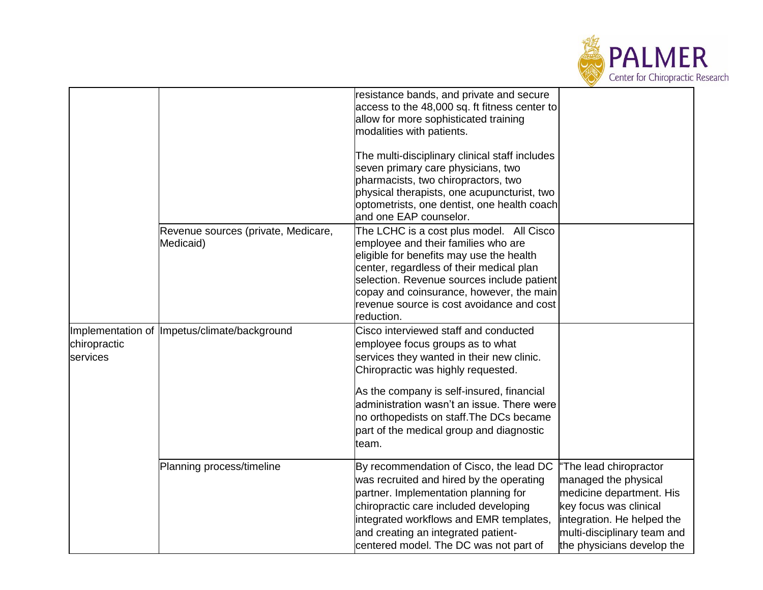

|                          |                                                  | resistance bands, and private and secure<br>access to the 48,000 sq. ft fitness center to<br>allow for more sophisticated training<br>modalities with patients.                                                                                                                                                                                          |                                                                                                                                                                                                 |
|--------------------------|--------------------------------------------------|----------------------------------------------------------------------------------------------------------------------------------------------------------------------------------------------------------------------------------------------------------------------------------------------------------------------------------------------------------|-------------------------------------------------------------------------------------------------------------------------------------------------------------------------------------------------|
|                          |                                                  | The multi-disciplinary clinical staff includes<br>seven primary care physicians, two<br>pharmacists, two chiropractors, two<br>physical therapists, one acupuncturist, two<br>optometrists, one dentist, one health coach<br>and one EAP counselor.                                                                                                      |                                                                                                                                                                                                 |
|                          | Revenue sources (private, Medicare,<br>Medicaid) | The LCHC is a cost plus model. All Cisco<br>employee and their families who are<br>eligible for benefits may use the health<br>center, regardless of their medical plan<br>selection. Revenue sources include patient<br>copay and coinsurance, however, the main<br>revenue source is cost avoidance and cost<br>reduction.                             |                                                                                                                                                                                                 |
| chiropractic<br>services | Implementation of Impetus/climate/background     | Cisco interviewed staff and conducted<br>employee focus groups as to what<br>services they wanted in their new clinic.<br>Chiropractic was highly requested.<br>As the company is self-insured, financial<br>administration wasn't an issue. There were<br>no orthopedists on staff. The DCs became<br>part of the medical group and diagnostic<br>team. |                                                                                                                                                                                                 |
|                          | Planning process/timeline                        | By recommendation of Cisco, the lead DC<br>was recruited and hired by the operating<br>partner. Implementation planning for<br>chiropractic care included developing<br>integrated workflows and EMR templates,<br>and creating an integrated patient-<br>centered model. The DC was not part of                                                         | "The lead chiropractor<br>managed the physical<br>medicine department. His<br>key focus was clinical<br>integration. He helped the<br>multi-disciplinary team and<br>the physicians develop the |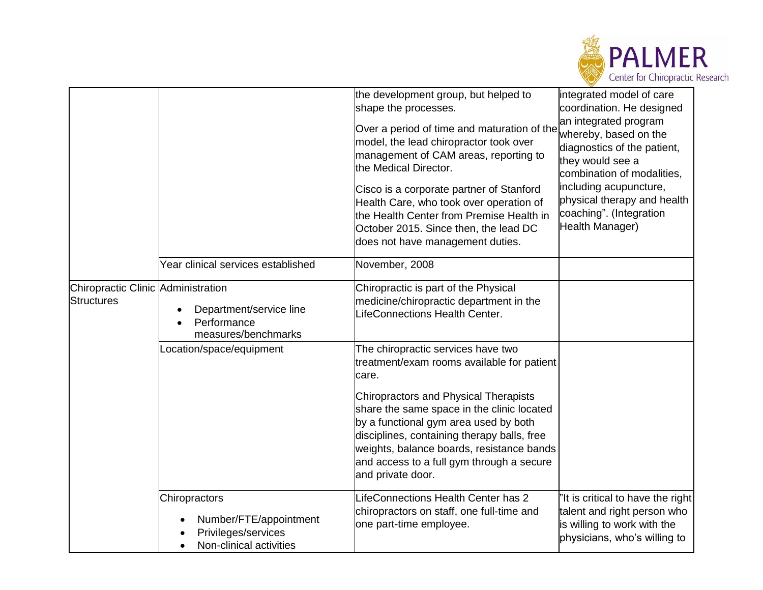

|                                                         |                                                                                                                     | the development group, but helped to<br>shape the processes.<br>Over a period of time and maturation of the<br>model, the lead chiropractor took over<br>management of CAM areas, reporting to<br>the Medical Director.<br>Cisco is a corporate partner of Stanford<br>Health Care, who took over operation of<br>the Health Center from Premise Health in<br>October 2015. Since then, the lead DC<br>does not have management duties. | integrated model of care<br>coordination. He designed<br>an integrated program<br>whereby, based on the<br>diagnostics of the patient,<br>they would see a<br>combination of modalities,<br>including acupuncture,<br>physical therapy and health<br>coaching". (Integration<br>Health Manager) |
|---------------------------------------------------------|---------------------------------------------------------------------------------------------------------------------|-----------------------------------------------------------------------------------------------------------------------------------------------------------------------------------------------------------------------------------------------------------------------------------------------------------------------------------------------------------------------------------------------------------------------------------------|-------------------------------------------------------------------------------------------------------------------------------------------------------------------------------------------------------------------------------------------------------------------------------------------------|
|                                                         | Year clinical services established                                                                                  | November, 2008                                                                                                                                                                                                                                                                                                                                                                                                                          |                                                                                                                                                                                                                                                                                                 |
| Chiropractic Clinic Administration<br><b>Structures</b> | Department/service line<br>Performance<br>measures/benchmarks                                                       | Chiropractic is part of the Physical<br>medicine/chiropractic department in the<br>LifeConnections Health Center.                                                                                                                                                                                                                                                                                                                       |                                                                                                                                                                                                                                                                                                 |
|                                                         | Location/space/equipment                                                                                            | The chiropractic services have two<br>treatment/exam rooms available for patient<br>care.<br><b>Chiropractors and Physical Therapists</b><br>share the same space in the clinic located<br>by a functional gym area used by both<br>disciplines, containing therapy balls, free<br>weights, balance boards, resistance bands<br>and access to a full gym through a secure<br>and private door.                                          |                                                                                                                                                                                                                                                                                                 |
|                                                         | Chiropractors<br>Number/FTE/appointment<br>$\bullet$<br>Privileges/services<br>Non-clinical activities<br>$\bullet$ | LifeConnections Health Center has 2<br>chiropractors on staff, one full-time and<br>one part-time employee.                                                                                                                                                                                                                                                                                                                             | 'It is critical to have the right<br>talent and right person who<br>is willing to work with the<br>physicians, who's willing to                                                                                                                                                                 |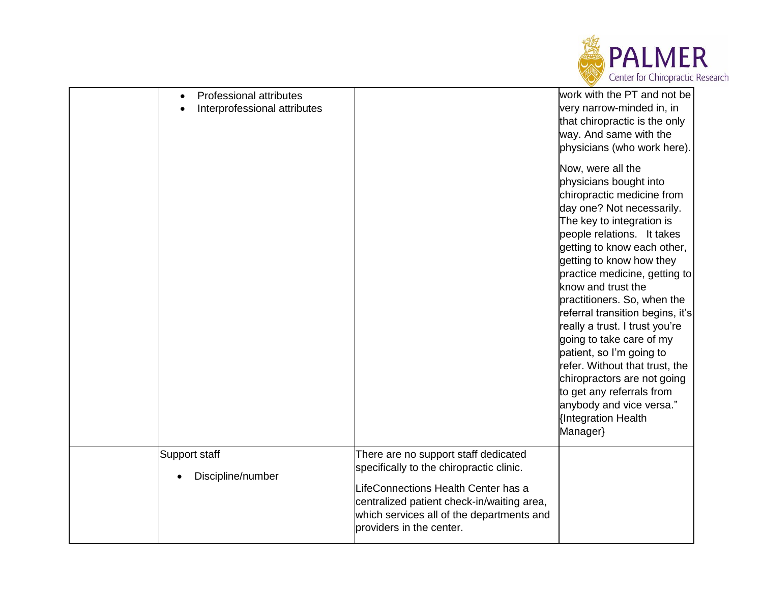

| $\bullet$                          | Professional attributes<br>Interprofessional attributes |                                                                                                                                                                                                                                                | work with the PT and not be<br>very narrow-minded in, in<br>that chiropractic is the only<br>way. And same with the<br>physicians (who work here).<br>Now, were all the<br>physicians bought into<br>chiropractic medicine from<br>day one? Not necessarily.<br>The key to integration is<br>people relations. It takes<br>getting to know each other,<br>getting to know how they<br>practice medicine, getting to<br>know and trust the<br>practitioners. So, when the<br>referral transition begins, it's<br>really a trust. I trust you're<br>going to take care of my<br>patient, so I'm going to |
|------------------------------------|---------------------------------------------------------|------------------------------------------------------------------------------------------------------------------------------------------------------------------------------------------------------------------------------------------------|--------------------------------------------------------------------------------------------------------------------------------------------------------------------------------------------------------------------------------------------------------------------------------------------------------------------------------------------------------------------------------------------------------------------------------------------------------------------------------------------------------------------------------------------------------------------------------------------------------|
|                                    |                                                         |                                                                                                                                                                                                                                                | refer. Without that trust, the<br>chiropractors are not going<br>to get any referrals from<br>anybody and vice versa."<br>{Integration Health<br>Manager}                                                                                                                                                                                                                                                                                                                                                                                                                                              |
| Support staff<br>Discipline/number |                                                         | There are no support staff dedicated<br>specifically to the chiropractic clinic.<br>LifeConnections Health Center has a<br>centralized patient check-in/waiting area,<br>which services all of the departments and<br>providers in the center. |                                                                                                                                                                                                                                                                                                                                                                                                                                                                                                                                                                                                        |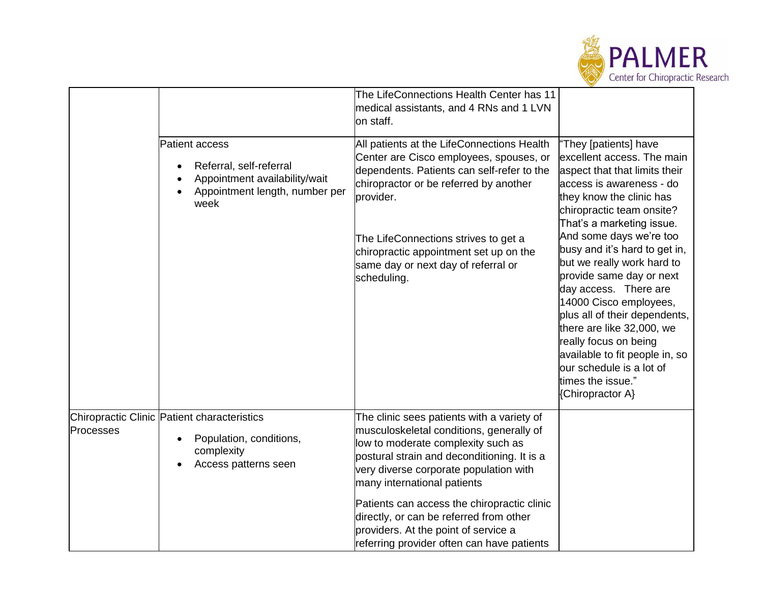

|           |                                                                                                                      | The LifeConnections Health Center has 11<br>medical assistants, and 4 RNs and 1 LVN<br>on staff.                                                                                                                                                     |                                                                                                                                                                                                                                                                                                                                                                     |
|-----------|----------------------------------------------------------------------------------------------------------------------|------------------------------------------------------------------------------------------------------------------------------------------------------------------------------------------------------------------------------------------------------|---------------------------------------------------------------------------------------------------------------------------------------------------------------------------------------------------------------------------------------------------------------------------------------------------------------------------------------------------------------------|
|           | Patient access<br>Referral, self-referral<br>Appointment availability/wait<br>Appointment length, number per<br>week | All patients at the LifeConnections Health<br>Center are Cisco employees, spouses, or<br>dependents. Patients can self-refer to the<br>chiropractor or be referred by another<br>provider.                                                           | 'They [patients] have<br>excellent access. The main<br>aspect that that limits their<br>access is awareness - do<br>they know the clinic has<br>chiropractic team onsite?<br>That's a marketing issue.                                                                                                                                                              |
|           |                                                                                                                      | The LifeConnections strives to get a<br>chiropractic appointment set up on the<br>same day or next day of referral or<br>scheduling.                                                                                                                 | And some days we're too<br>busy and it's hard to get in,<br>but we really work hard to<br>provide same day or next<br>day access. There are<br>14000 Cisco employees,<br>plus all of their dependents,<br>there are like 32,000, we<br>really focus on being<br>available to fit people in, so<br>our schedule is a lot of<br>times the issue."<br>{Chiropractor A} |
| Processes | Chiropractic Clinic Patient characteristics<br>Population, conditions,<br>complexity<br>Access patterns seen         | The clinic sees patients with a variety of<br>musculoskeletal conditions, generally of<br>low to moderate complexity such as<br>postural strain and deconditioning. It is a<br>very diverse corporate population with<br>many international patients |                                                                                                                                                                                                                                                                                                                                                                     |
|           |                                                                                                                      | Patients can access the chiropractic clinic<br>directly, or can be referred from other<br>providers. At the point of service a<br>referring provider often can have patients                                                                         |                                                                                                                                                                                                                                                                                                                                                                     |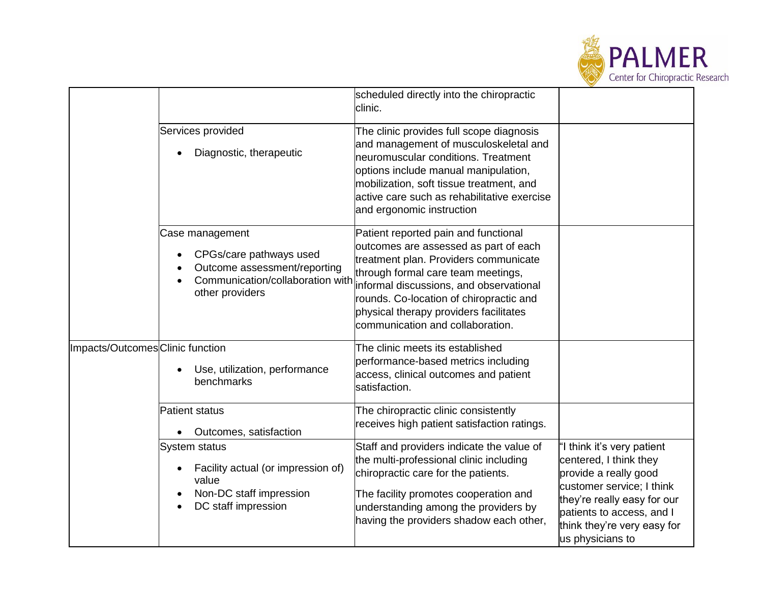

|                                  |                                                                                                                                   | scheduled directly into the chiropractic<br>clinic.                                                                                                                                                                                                                                                                              |                                                                                                                                                                                                                           |
|----------------------------------|-----------------------------------------------------------------------------------------------------------------------------------|----------------------------------------------------------------------------------------------------------------------------------------------------------------------------------------------------------------------------------------------------------------------------------------------------------------------------------|---------------------------------------------------------------------------------------------------------------------------------------------------------------------------------------------------------------------------|
|                                  | Services provided<br>Diagnostic, therapeutic                                                                                      | The clinic provides full scope diagnosis<br>and management of musculoskeletal and<br>neuromuscular conditions. Treatment<br>options include manual manipulation,<br>mobilization, soft tissue treatment, and<br>active care such as rehabilitative exercise<br>and ergonomic instruction                                         |                                                                                                                                                                                                                           |
|                                  | Case management<br>CPGs/care pathways used<br>Outcome assessment/reporting<br>Communication/collaboration with<br>other providers | Patient reported pain and functional<br>outcomes are assessed as part of each<br>treatment plan. Providers communicate<br>through formal care team meetings,<br>informal discussions, and observational<br>rounds. Co-location of chiropractic and<br>physical therapy providers facilitates<br>communication and collaboration. |                                                                                                                                                                                                                           |
| Impacts/Outcomes Clinic function | Use, utilization, performance<br>benchmarks                                                                                       | The clinic meets its established<br>performance-based metrics including<br>access, clinical outcomes and patient<br>satisfaction.                                                                                                                                                                                                |                                                                                                                                                                                                                           |
|                                  | <b>Patient status</b><br>Outcomes, satisfaction                                                                                   | The chiropractic clinic consistently<br>receives high patient satisfaction ratings.                                                                                                                                                                                                                                              |                                                                                                                                                                                                                           |
|                                  | System status<br>Facility actual (or impression of)<br>value<br>Non-DC staff impression<br>DC staff impression                    | Staff and providers indicate the value of<br>the multi-professional clinic including<br>chiropractic care for the patients.<br>The facility promotes cooperation and<br>understanding among the providers by<br>having the providers shadow each other,                                                                          | "I think it's very patient<br>centered, I think they<br>provide a really good<br>customer service; I think<br>they're really easy for our<br>patients to access, and I<br>think they're very easy for<br>us physicians to |